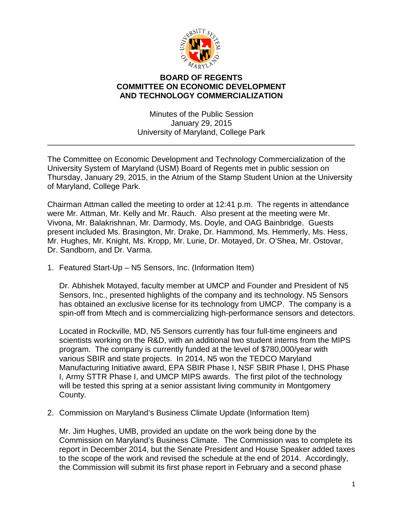

## **BOARD OF REGENTS COMMITTEE ON ECONOMIC DEVELOPMENT AND TECHNOLOGY COMMERCIALIZATION**

Minutes of the Public Session January 29, 2015 University of Maryland, College Park

\_\_\_\_\_\_\_\_\_\_\_\_\_\_\_\_\_\_\_\_\_\_\_\_\_\_\_\_\_\_\_\_\_\_\_\_\_\_\_\_\_\_\_\_\_\_\_\_\_\_\_\_\_\_\_\_\_\_\_\_\_\_\_\_\_\_\_\_\_\_

The Committee on Economic Development and Technology Commercialization of the University System of Maryland (USM) Board of Regents met in public session on Thursday, January 29, 2015, in the Atrium of the Stamp Student Union at the University of Maryland, College Park.

Chairman Attman called the meeting to order at 12:41 p.m. The regents in attendance were Mr. Attman, Mr. Kelly and Mr. Rauch. Also present at the meeting were Mr. Vivona, Mr. Balakrishnan, Mr. Darmody, Ms. Doyle, and OAG Bainbridge. Guests present included Ms. Brasington, Mr. Drake, Dr. Hammond, Ms. Hemmerly, Ms. Hess, Mr. Hughes, Mr. Knight, Ms. Kropp, Mr. Lurie, Dr. Motayed, Dr. O'Shea, Mr. Ostovar, Dr. Sandborn, and Dr. Varma.

1. Featured Start-Up – N5 Sensors, Inc. (Information Item)

Dr. Abhishek Motayed, faculty member at UMCP and Founder and President of N5 Sensors, Inc., presented highlights of the company and its technology. N5 Sensors has obtained an exclusive license for its technology from UMCP. The company is a spin-off from Mtech and is commercializing high-performance sensors and detectors.

Located in Rockville, MD, N5 Sensors currently has four full-time engineers and scientists working on the R&D, with an additional two student interns from the MIPS program. The company is currently funded at the level of \$780,000/year with various SBIR and state projects. In 2014, N5 won the TEDCO Maryland Manufacturing Initiative award, EPA SBIR Phase I, NSF SBIR Phase I, DHS Phase I, Army STTR Phase I, and UMCP MIPS awards. The first pilot of the technology will be tested this spring at a senior assistant living community in Montgomery County.

2. Commission on Maryland's Business Climate Update (Information Item)

Mr. Jim Hughes, UMB, provided an update on the work being done by the Commission on Maryland's Business Climate. The Commission was to complete its report in December 2014, but the Senate President and House Speaker added taxes to the scope of the work and revised the schedule at the end of 2014. Accordingly, the Commission will submit its first phase report in February and a second phase